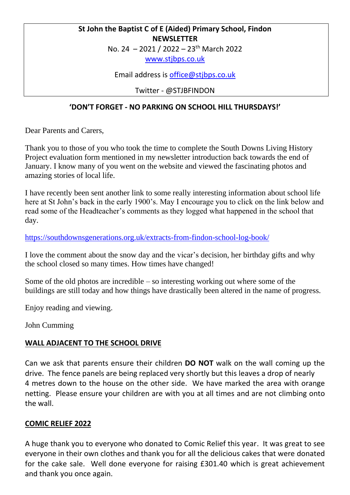#### **St John the Baptist C of E (Aided) Primary School, Findon NEWSLETTER**

No. 24 – 2021 / 2022 – 23th March 2022

[www.stjbps.co.uk](http://www.stjbps.co.uk/)

Email address is [office@stjbps.co.uk](mailto:office@stjbps.co.uk)

Twitter - @STJBFINDON

## **'DON'T FORGET - NO PARKING ON SCHOOL HILL THURSDAYS!'**

Dear Parents and Carers,

Thank you to those of you who took the time to complete the South Downs Living History Project evaluation form mentioned in my newsletter introduction back towards the end of January. I know many of you went on the website and viewed the fascinating photos and amazing stories of local life.

I have recently been sent another link to some really interesting information about school life here at St John's back in the early 1900's. May I encourage you to click on the link below and read some of the Headteacher's comments as they logged what happened in the school that day.

<https://southdownsgenerations.org.uk/extracts-from-findon-school-log-book/>

I love the comment about the snow day and the vicar's decision, her birthday gifts and why the school closed so many times. How times have changed!

Some of the old photos are incredible – so interesting working out where some of the buildings are still today and how things have drastically been altered in the name of progress.

Enjoy reading and viewing.

John Cumming

#### **WALL ADJACENT TO THE SCHOOL DRIVE**

Can we ask that parents ensure their children **DO NOT** walk on the wall coming up the drive. The fence panels are being replaced very shortly but this leaves a drop of nearly 4 metres down to the house on the other side. We have marked the area with orange netting. Please ensure your children are with you at all times and are not climbing onto the wall.

#### **COMIC RELIEF 2022**

A huge thank you to everyone who donated to Comic Relief this year. It was great to see everyone in their own clothes and thank you for all the delicious cakes that were donated for the cake sale. Well done everyone for raising £301.40 which is great achievement and thank you once again.